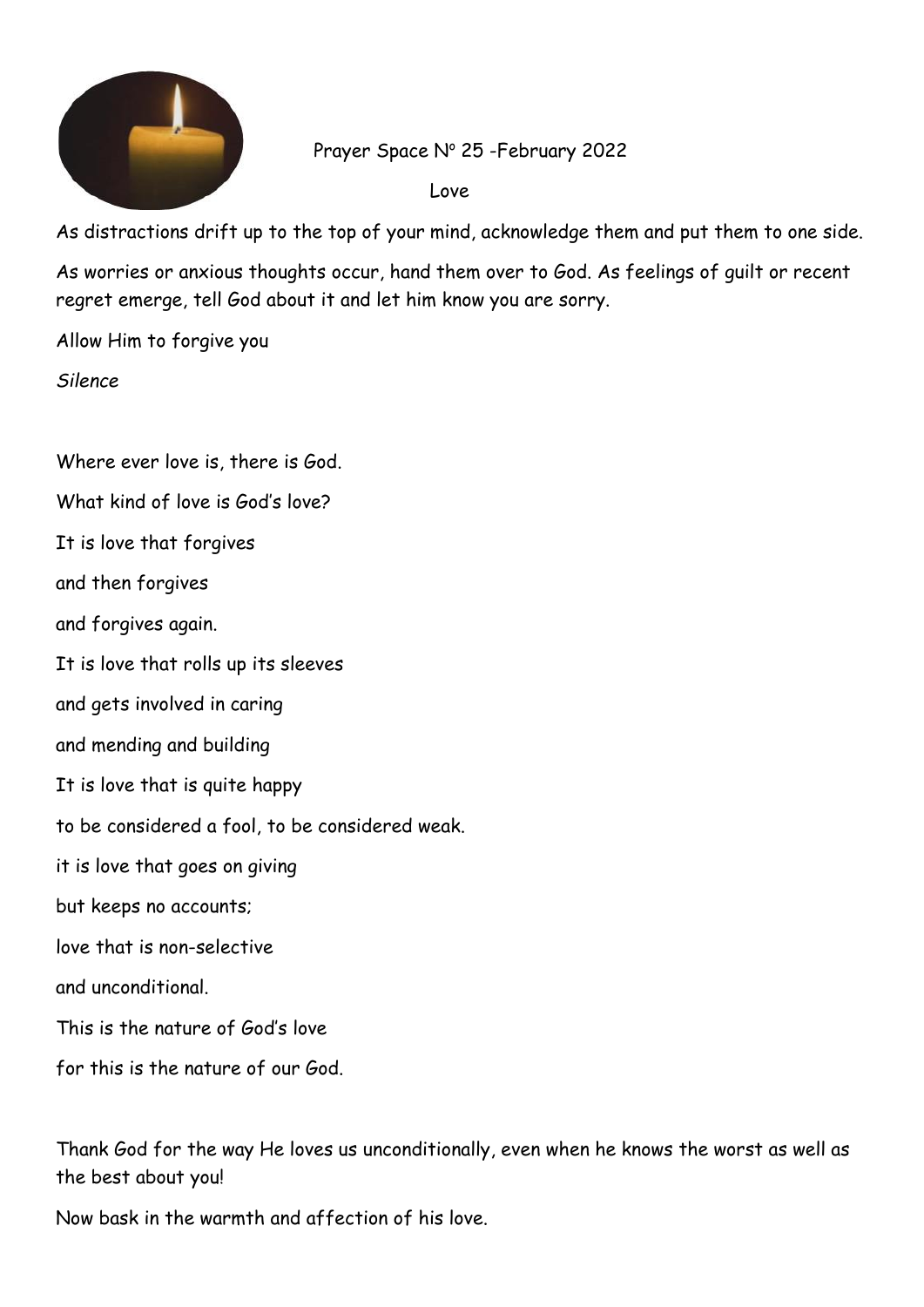

Prayer Space Nº 25 -February 2022

Love

As distractions drift up to the top of your mind, acknowledge them and put them to one side.

As worries or anxious thoughts occur, hand them over to God. As feelings of guilt or recent regret emerge, tell God about it and let him know you are sorry.

Allow Him to forgive you

*Silence*

Where ever love is, there is God. What kind of love is God's love? It is love that forgives and then forgives and forgives again. It is love that rolls up its sleeves and gets involved in caring and mending and building It is love that is quite happy to be considered a fool, to be considered weak. it is love that goes on giving but keeps no accounts; love that is non-selective and unconditional. This is the nature of God's love for this is the nature of our God.

Thank God for the way He loves us unconditionally, even when he knows the worst as well as the best about you!

Now bask in the warmth and affection of his love.